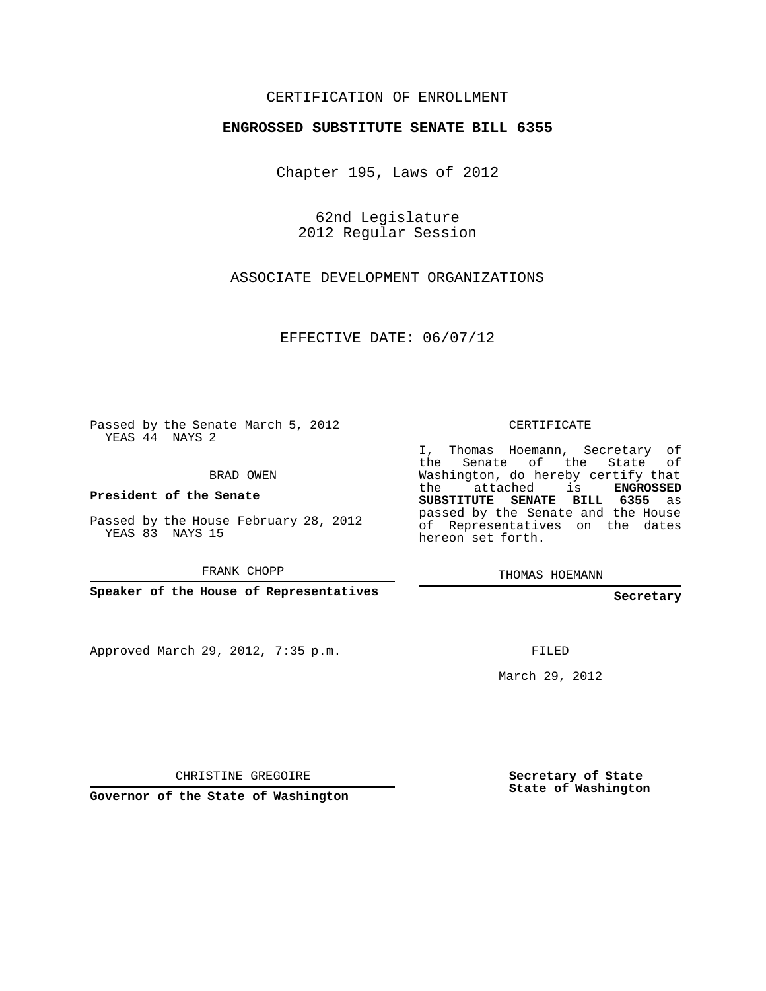## CERTIFICATION OF ENROLLMENT

## **ENGROSSED SUBSTITUTE SENATE BILL 6355**

Chapter 195, Laws of 2012

62nd Legislature 2012 Regular Session

ASSOCIATE DEVELOPMENT ORGANIZATIONS

EFFECTIVE DATE: 06/07/12

Passed by the Senate March 5, 2012 YEAS 44 NAYS 2

BRAD OWEN

**President of the Senate**

Passed by the House February 28, 2012 YEAS 83 NAYS 15

FRANK CHOPP

**Speaker of the House of Representatives**

Approved March 29, 2012, 7:35 p.m.

CERTIFICATE

I, Thomas Hoemann, Secretary of the Senate of the State of Washington, do hereby certify that the attached is **ENGROSSED SUBSTITUTE SENATE BILL 6355** as passed by the Senate and the House of Representatives on the dates hereon set forth.

THOMAS HOEMANN

**Secretary**

FILED

March 29, 2012

CHRISTINE GREGOIRE

**Governor of the State of Washington**

**Secretary of State State of Washington**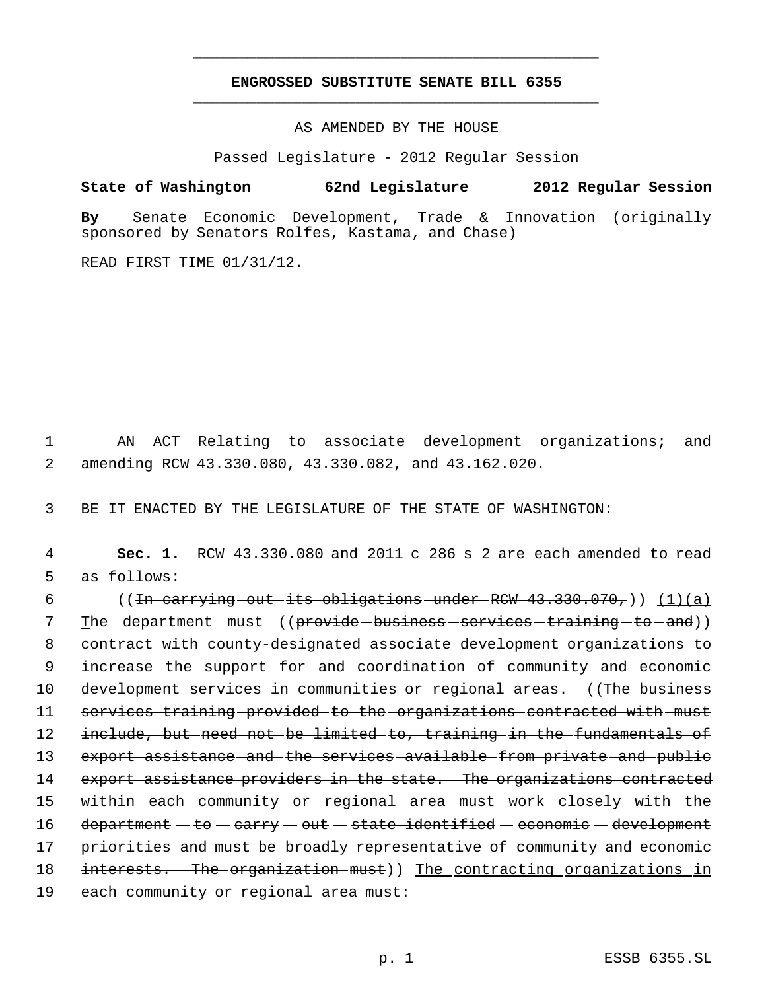## **ENGROSSED SUBSTITUTE SENATE BILL 6355** \_\_\_\_\_\_\_\_\_\_\_\_\_\_\_\_\_\_\_\_\_\_\_\_\_\_\_\_\_\_\_\_\_\_\_\_\_\_\_\_\_\_\_\_\_

\_\_\_\_\_\_\_\_\_\_\_\_\_\_\_\_\_\_\_\_\_\_\_\_\_\_\_\_\_\_\_\_\_\_\_\_\_\_\_\_\_\_\_\_\_

AS AMENDED BY THE HOUSE

Passed Legislature - 2012 Regular Session

**State of Washington 62nd Legislature 2012 Regular Session**

**By** Senate Economic Development, Trade & Innovation (originally sponsored by Senators Rolfes, Kastama, and Chase)

READ FIRST TIME 01/31/12.

 1 AN ACT Relating to associate development organizations; and 2 amending RCW 43.330.080, 43.330.082, and 43.162.020.

3 BE IT ENACTED BY THE LEGISLATURE OF THE STATE OF WASHINGTON:

 4 **Sec. 1.** RCW 43.330.080 and 2011 c 286 s 2 are each amended to read 5 as follows:

6  $((\text{Im carrying-out-its obligations-under-RCW 43.330.070},))$  (1)(a) 7 The department must ((<del>provide-business-services-training-to-and</del>)) 8 contract with county-designated associate development organizations to 9 increase the support for and coordination of community and economic 10 development services in communities or regional areas. ((The business 11 services training provided to the organizations contracted with must 12 include, but need not be limited to, training in the fundamentals of 13 export assistance and the services available from private and public 14 export assistance providers in the state. The organizations contracted 15 within-each-community-or-regional-area-must-work-closely-with-the  $16$  department  $-$  to  $-$  carry  $-$  out  $-$  state-identified  $-$  economic  $-$  development 17 priorities and must be broadly representative of community and economic 18 interests. The organization must)) The contracting organizations in 19 each community or regional area must: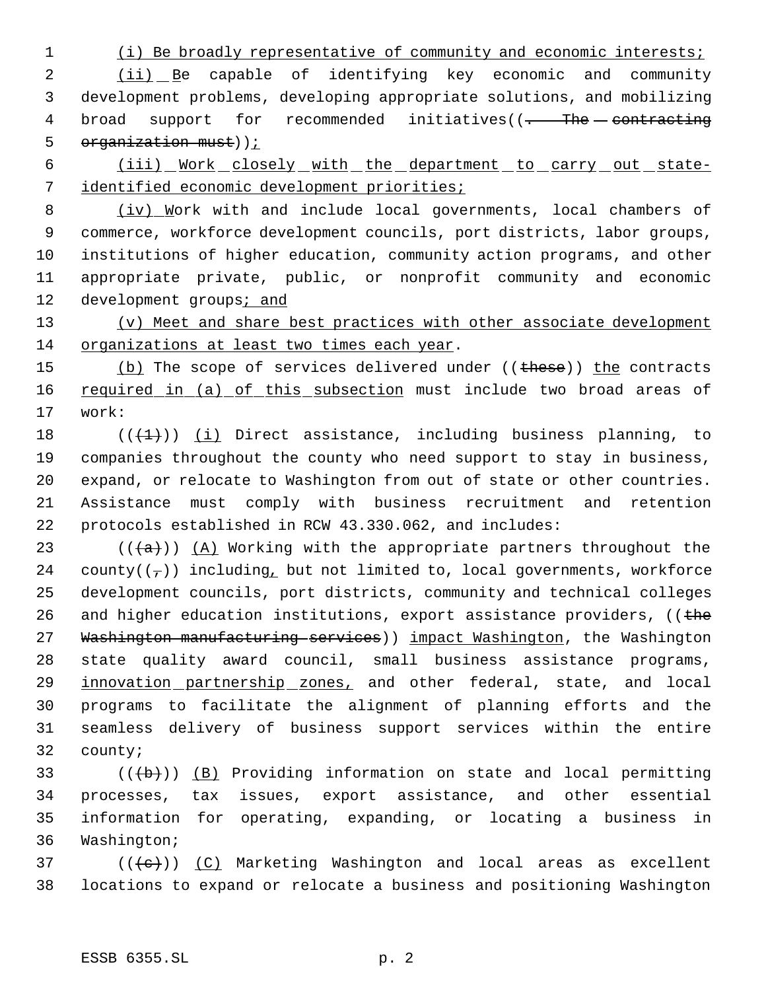## 1 (i) Be broadly representative of community and economic interests;

2 (ii) Be capable of identifying key economic and community 3 development problems, developing appropriate solutions, and mobilizing 4 broad support for recommended initiatives((- The contracting 5  $organization must)$ );

6 (iii) Work closely with the department to carry out state-7 identified economic development priorities;

8 (iv) Work with and include local governments, local chambers of 9 commerce, workforce development councils, port districts, labor groups, 10 institutions of higher education, community action programs, and other 11 appropriate private, public, or nonprofit community and economic 12 development groups; and

13 (v) Meet and share best practices with other associate development 14 organizations at least two times each year.

15 (b) The scope of services delivered under ((these)) the contracts 16 required in (a) of this subsection must include two broad areas of 17 work:

 $((+1))$   $(i)$  Direct assistance, including business planning, to companies throughout the county who need support to stay in business, expand, or relocate to Washington from out of state or other countries. Assistance must comply with business recruitment and retention protocols established in RCW 43.330.062, and includes:

23 ( $(\langle a \rangle)$ ) (A) Working with the appropriate partners throughout the 24 county( $(\tau)$ ) including, but not limited to, local governments, workforce 25 development councils, port districts, community and technical colleges 26 and higher education institutions, export assistance providers,  $($  (the 27 Washington manufacturing services) impact Washington, the Washington 28 state quality award council, small business assistance programs, 29 innovation partnership zones, and other federal, state, and local 30 programs to facilitate the alignment of planning efforts and the 31 seamless delivery of business support services within the entire 32 county;

 $((\overline{\mathbf{b}}))$  (B) Providing information on state and local permitting processes, tax issues, export assistance, and other essential information for operating, expanding, or locating a business in Washington;

 $37$  (( $\left(\frac{1}{10}\right)$ ) (C) Marketing Washington and local areas as excellent 38 locations to expand or relocate a business and positioning Washington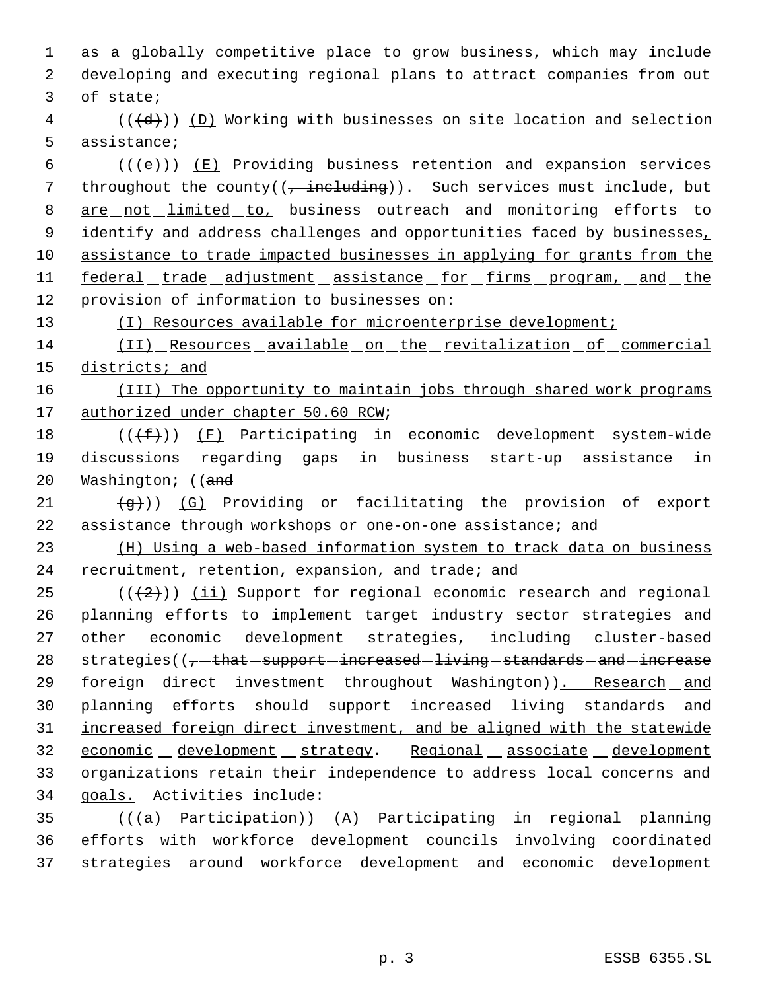1 as a globally competitive place to grow business, which may include 2 developing and executing regional plans to attract companies from out 3 of state;

 $4$  (( $\left(\frac{d}{d}\right)$ ) (D) Working with businesses on site location and selection 5 assistance;

6 ( $(\overline{\left\langle e\right\rangle})$ )  $(E)$  Providing business retention and expansion services 7 throughout the county( $\left(\frac{1}{2} + \frac{1}{2} + \frac{1}{2} + \frac{1}{2}\right)$ ). Such services must include, but 8 are not limited to, business outreach and monitoring efforts to 9 identify and address challenges and opportunities faced by businesses, 10 assistance to trade impacted businesses in applying for grants from the 11 federal trade adjustment assistance for firms program, and the 12 provision of information to businesses on:

13 (I) Resources available for microenterprise development;

14 (II) Resources available on the revitalization of commercial 15 districts; and

16 (III) The opportunity to maintain jobs through shared work programs 17 authorized under chapter 50.60 RCW;

18  $((\text{+f}))(\text{F})$  Participating in economic development system-wide 19 discussions regarding gaps in business start-up assistance in 20 Washington; ((and

21  $(q+1)$ ) (G) Providing or facilitating the provision of export 22 assistance through workshops or one-on-one assistance; and

23 (H) Using a web-based information system to track data on business 24 recruitment, retention, expansion, and trade; and

25  $((+2))$  (ii) Support for regional economic research and regional 26 planning efforts to implement target industry sector strategies and 27 other economic development strategies, including cluster-based 28  $\:$  strategies(( $\tau$ -that-support-increased-living-standards-and-increase 29 foreign-direct-investment-throughout-Washington)). Research and 30 planning efforts should support increased living standards and 31 increased foreign direct investment, and be aligned with the statewide 32 economic development strategy. Regional associate development 33 organizations retain their independence to address local concerns and 34 goals. Activities include:

35 ( $((a)$  -Participation))  $(A)$  Participating in regional planning 36 efforts with workforce development councils involving coordinated 37 strategies around workforce development and economic development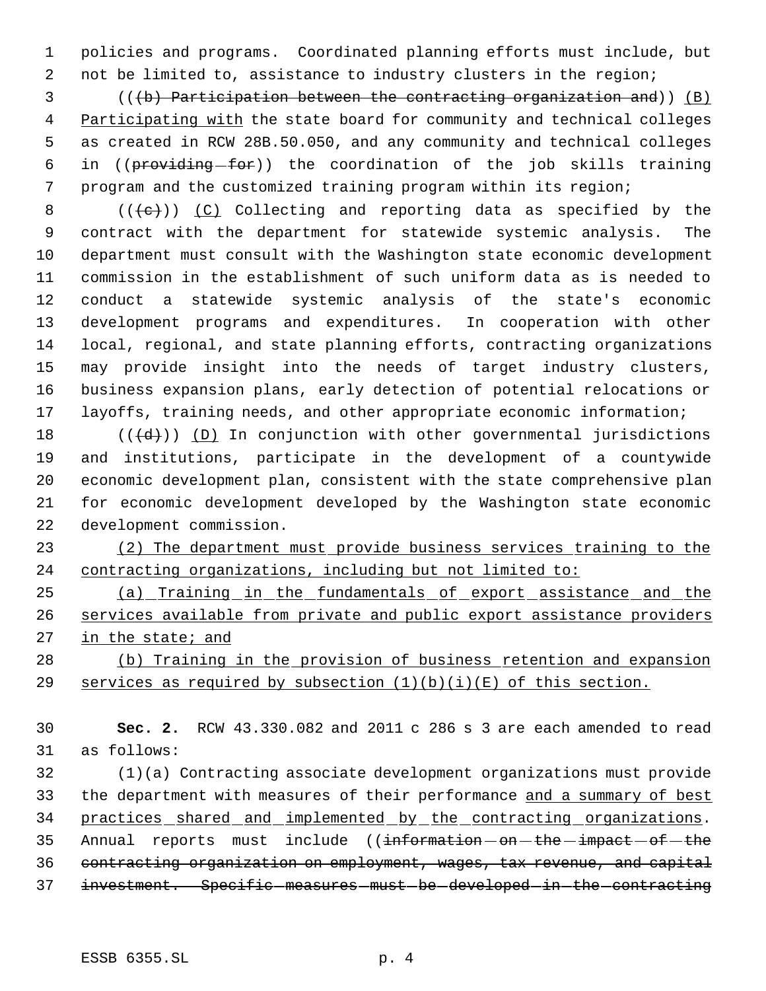policies and programs. Coordinated planning efforts must include, but 2 not be limited to, assistance to industry clusters in the region;

 (((b) Participation between the contracting organization and)) (B) 4 Participating with the state board for community and technical colleges as created in RCW 28B.50.050, and any community and technical colleges 6 in ((providing-for)) the coordination of the job skills training program and the customized training program within its region;

 $((+e))$   $(C)$  Collecting and reporting data as specified by the contract with the department for statewide systemic analysis. The department must consult with the Washington state economic development commission in the establishment of such uniform data as is needed to conduct a statewide systemic analysis of the state's economic development programs and expenditures. In cooperation with other local, regional, and state planning efforts, contracting organizations may provide insight into the needs of target industry clusters, business expansion plans, early detection of potential relocations or layoffs, training needs, and other appropriate economic information;

 $((\{d\})$  ( $(D)$  In conjunction with other governmental jurisdictions and institutions, participate in the development of a countywide economic development plan, consistent with the state comprehensive plan for economic development developed by the Washington state economic development commission.

 (2) The department must provide business services training to the contracting organizations, including but not limited to:

 (a) Training in the fundamentals of export assistance and the 26 services available from private and public export assistance providers 27 in the state; and

 (b) Training in the provision of business retention and expansion 29 services as required by subsection  $(1)(b)(i)(E)$  of this section.

 **Sec. 2.** RCW 43.330.082 and 2011 c 286 s 3 are each amended to read as follows:

 (1)(a) Contracting associate development organizations must provide 33 the department with measures of their performance and a summary of best 34 practices shared and implemented by the contracting organizations. 35 Annual reports must include ((information - on - the - impact - of - the contracting organization on employment, wages, tax revenue, and capital 37 investment. Specific measures must be developed in the contracting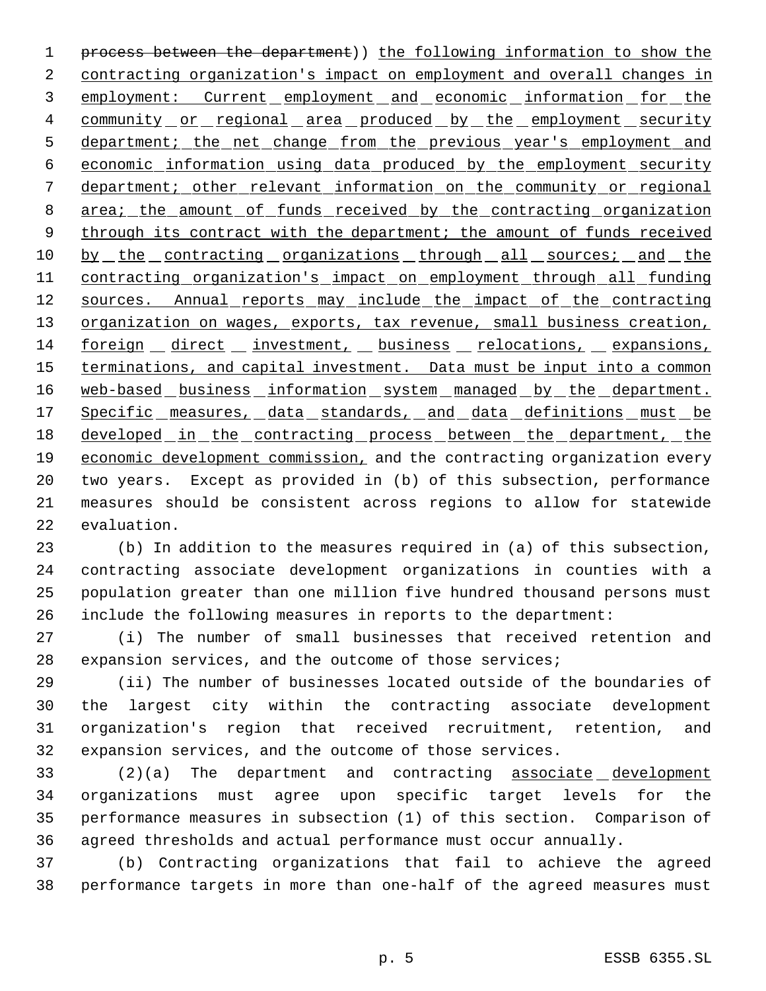process between the department)) the following information to show the 2 contracting organization's impact on employment and overall changes in employment: Current employment and economic information for the 4 community or regional area produced by the employment security 5 department; the net change from the previous year's employment and economic information using data produced by the employment security department; other relevant information on the community or regional 8 area; the amount of funds received by the contracting organization 9 through its contract with the department; the amount of funds received 10 by the contracting organizations through all sources; and the 11 contracting organization's impact on employment through all funding 12 sources. Annual reports may include the impact of the contracting 13 organization on wages, exports, tax revenue, small business creation, foreign direct investment, business relocations, expansions, 15 terminations, and capital investment. Data must be input into a common 16 web-based business information system managed by the department. 17 Specific measures, data standards, and data definitions must be 18 developed in the contracting process between the department, the 19 economic development commission, and the contracting organization every two years. Except as provided in (b) of this subsection, performance measures should be consistent across regions to allow for statewide evaluation.

 (b) In addition to the measures required in (a) of this subsection, contracting associate development organizations in counties with a population greater than one million five hundred thousand persons must include the following measures in reports to the department:

 (i) The number of small businesses that received retention and expansion services, and the outcome of those services;

 (ii) The number of businesses located outside of the boundaries of the largest city within the contracting associate development organization's region that received recruitment, retention, and expansion services, and the outcome of those services.

 (2)(a) The department and contracting associate development organizations must agree upon specific target levels for the performance measures in subsection (1) of this section. Comparison of agreed thresholds and actual performance must occur annually.

 (b) Contracting organizations that fail to achieve the agreed performance targets in more than one-half of the agreed measures must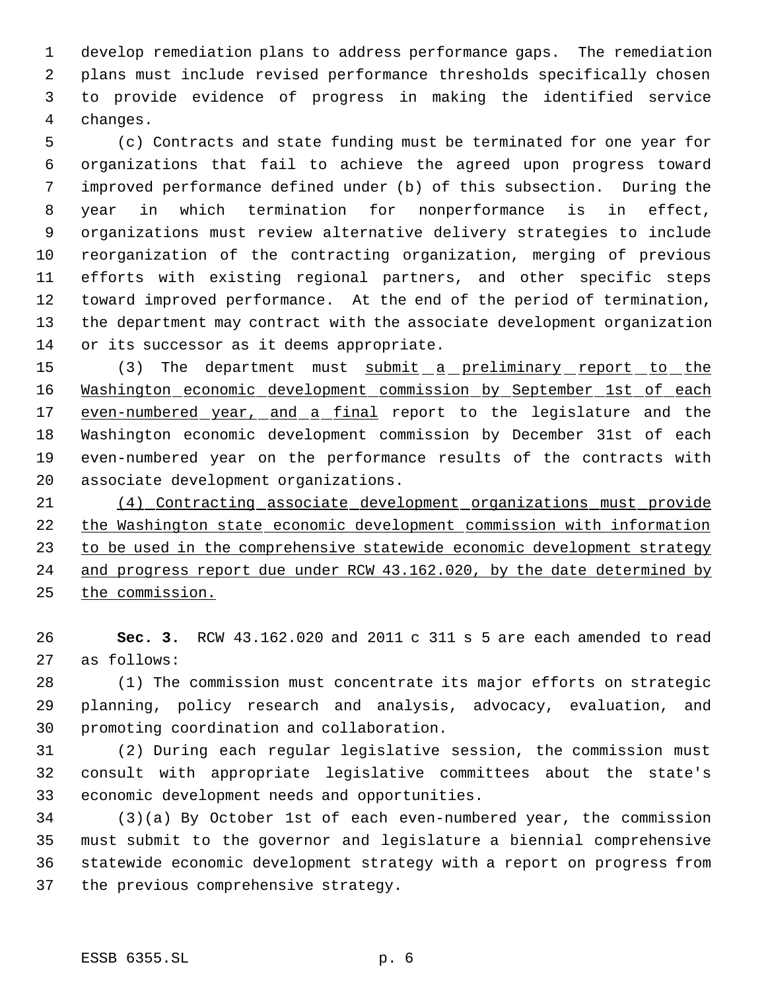develop remediation plans to address performance gaps. The remediation plans must include revised performance thresholds specifically chosen to provide evidence of progress in making the identified service changes.

 (c) Contracts and state funding must be terminated for one year for organizations that fail to achieve the agreed upon progress toward improved performance defined under (b) of this subsection. During the year in which termination for nonperformance is in effect, organizations must review alternative delivery strategies to include reorganization of the contracting organization, merging of previous efforts with existing regional partners, and other specific steps toward improved performance. At the end of the period of termination, the department may contract with the associate development organization or its successor as it deems appropriate.

15 (3) The department must submit a preliminary report to the Washington economic development commission by September 1st of each 17 even-numbered year, and a final report to the legislature and the Washington economic development commission by December 31st of each even-numbered year on the performance results of the contracts with associate development organizations.

 (4) Contracting associate development organizations must provide the Washington state economic development commission with information 23 to be used in the comprehensive statewide economic development strategy and progress report due under RCW 43.162.020, by the date determined by the commission.

 **Sec. 3.** RCW 43.162.020 and 2011 c 311 s 5 are each amended to read as follows:

 (1) The commission must concentrate its major efforts on strategic planning, policy research and analysis, advocacy, evaluation, and promoting coordination and collaboration.

 (2) During each regular legislative session, the commission must consult with appropriate legislative committees about the state's economic development needs and opportunities.

 (3)(a) By October 1st of each even-numbered year, the commission must submit to the governor and legislature a biennial comprehensive statewide economic development strategy with a report on progress from the previous comprehensive strategy.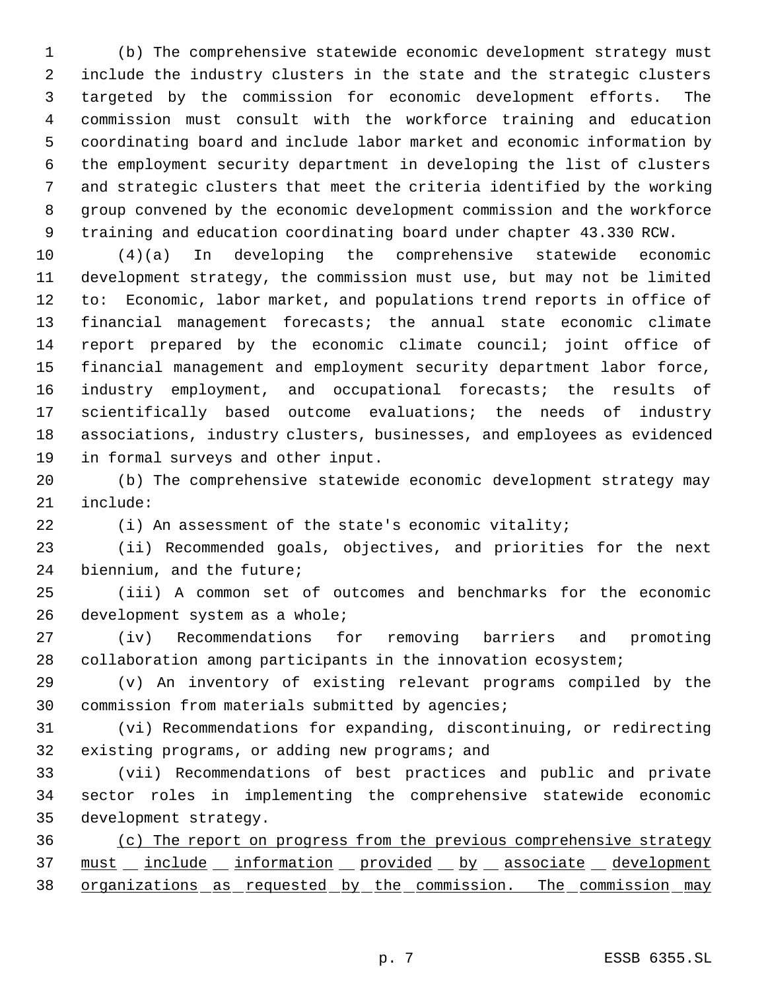(b) The comprehensive statewide economic development strategy must include the industry clusters in the state and the strategic clusters targeted by the commission for economic development efforts. The commission must consult with the workforce training and education coordinating board and include labor market and economic information by the employment security department in developing the list of clusters and strategic clusters that meet the criteria identified by the working group convened by the economic development commission and the workforce training and education coordinating board under chapter 43.330 RCW.

 (4)(a) In developing the comprehensive statewide economic development strategy, the commission must use, but may not be limited to: Economic, labor market, and populations trend reports in office of financial management forecasts; the annual state economic climate report prepared by the economic climate council; joint office of financial management and employment security department labor force, industry employment, and occupational forecasts; the results of scientifically based outcome evaluations; the needs of industry associations, industry clusters, businesses, and employees as evidenced in formal surveys and other input.

 (b) The comprehensive statewide economic development strategy may include:

(i) An assessment of the state's economic vitality;

 (ii) Recommended goals, objectives, and priorities for the next biennium, and the future;

 (iii) A common set of outcomes and benchmarks for the economic development system as a whole;

 (iv) Recommendations for removing barriers and promoting collaboration among participants in the innovation ecosystem;

 (v) An inventory of existing relevant programs compiled by the commission from materials submitted by agencies;

 (vi) Recommendations for expanding, discontinuing, or redirecting existing programs, or adding new programs; and

 (vii) Recommendations of best practices and public and private sector roles in implementing the comprehensive statewide economic development strategy.

 (c) The report on progress from the previous comprehensive strategy 37 must \_ include \_ information \_ provided \_ by \_ associate \_ development organizations as requested by the commission. The commission may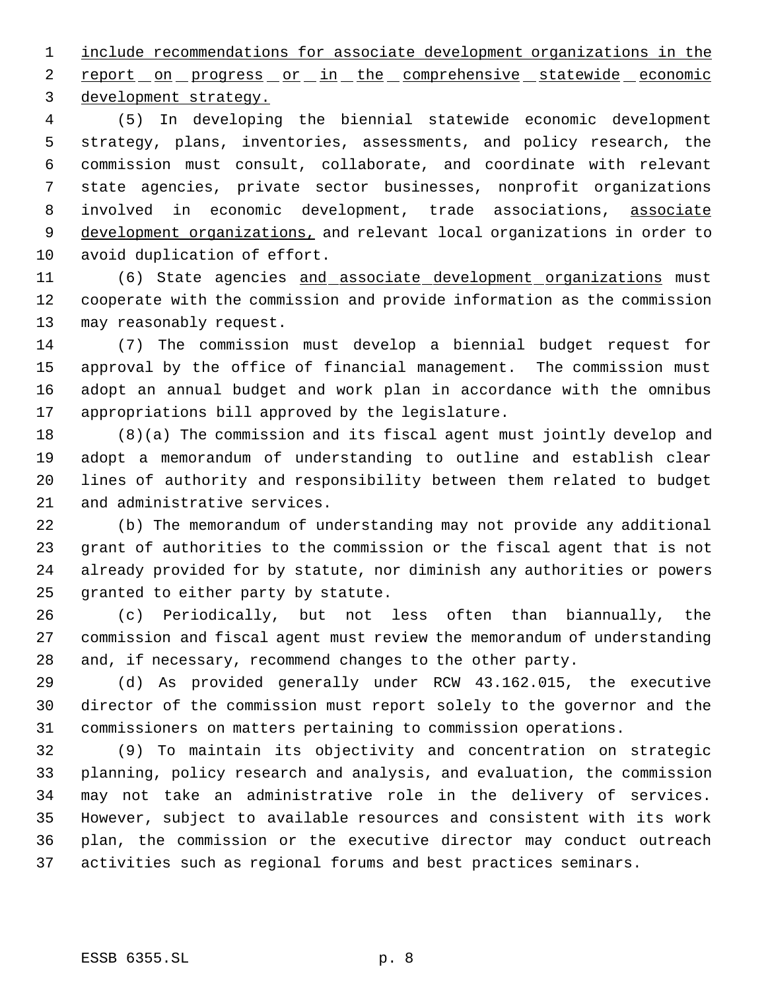include recommendations for associate development organizations in the 2 report on progress or in the comprehensive statewide economic development strategy.

 (5) In developing the biennial statewide economic development strategy, plans, inventories, assessments, and policy research, the commission must consult, collaborate, and coordinate with relevant state agencies, private sector businesses, nonprofit organizations 8 involved in economic development, trade associations, associate 9 development organizations, and relevant local organizations in order to avoid duplication of effort.

11 (6) State agencies and associate development organizations must cooperate with the commission and provide information as the commission may reasonably request.

 (7) The commission must develop a biennial budget request for approval by the office of financial management. The commission must adopt an annual budget and work plan in accordance with the omnibus appropriations bill approved by the legislature.

 (8)(a) The commission and its fiscal agent must jointly develop and adopt a memorandum of understanding to outline and establish clear lines of authority and responsibility between them related to budget and administrative services.

 (b) The memorandum of understanding may not provide any additional grant of authorities to the commission or the fiscal agent that is not already provided for by statute, nor diminish any authorities or powers granted to either party by statute.

 (c) Periodically, but not less often than biannually, the commission and fiscal agent must review the memorandum of understanding and, if necessary, recommend changes to the other party.

 (d) As provided generally under RCW 43.162.015, the executive director of the commission must report solely to the governor and the commissioners on matters pertaining to commission operations.

 (9) To maintain its objectivity and concentration on strategic planning, policy research and analysis, and evaluation, the commission may not take an administrative role in the delivery of services. However, subject to available resources and consistent with its work plan, the commission or the executive director may conduct outreach activities such as regional forums and best practices seminars.